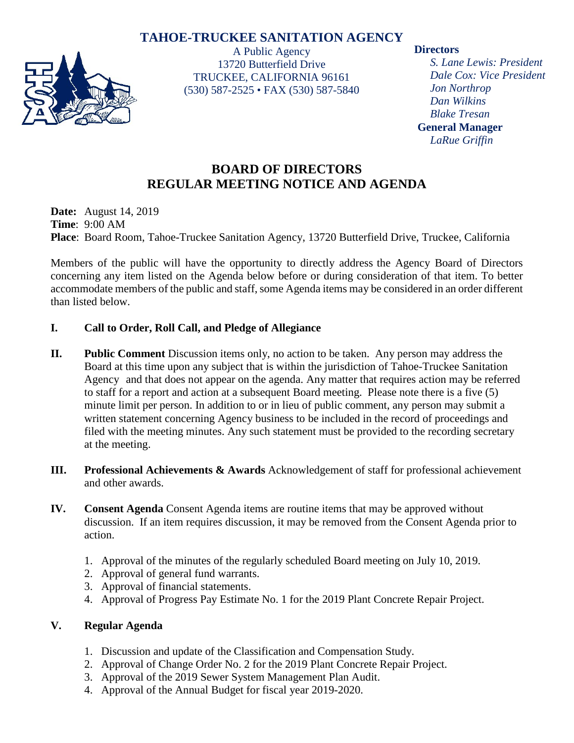# **TAHOE-TRUCKEE SANITATION AGENCY**



A Public Agency 13720 Butterfield Drive TRUCKEE, CALIFORNIA 96161 (530) 587-2525 • FAX (530) 587-5840

## **Directors**

*S. Lane Lewis: President Dale Cox: Vice President Jon Northrop Dan Wilkins Blake Tresan* **General Manager** *LaRue Griffin*

# **BOARD OF DIRECTORS REGULAR MEETING NOTICE AND AGENDA**

**Date:** August 14, 2019 **Time**: 9:00 AM **Place**: Board Room, Tahoe-Truckee Sanitation Agency, 13720 Butterfield Drive, Truckee, California

Members of the public will have the opportunity to directly address the Agency Board of Directors concerning any item listed on the Agenda below before or during consideration of that item. To better accommodate members of the public and staff, some Agenda items may be considered in an order different than listed below.

## **I. Call to Order, Roll Call, and Pledge of Allegiance**

- **II. Public Comment** Discussion items only, no action to be taken. Any person may address the Board at this time upon any subject that is within the jurisdiction of Tahoe-Truckee Sanitation Agency and that does not appear on the agenda. Any matter that requires action may be referred to staff for a report and action at a subsequent Board meeting. Please note there is a five (5) minute limit per person. In addition to or in lieu of public comment, any person may submit a written statement concerning Agency business to be included in the record of proceedings and filed with the meeting minutes. Any such statement must be provided to the recording secretary at the meeting.
- **III. Professional Achievements & Awards** Acknowledgement of staff for professional achievement and other awards.
- **IV. Consent Agenda** Consent Agenda items are routine items that may be approved without discussion. If an item requires discussion, it may be removed from the Consent Agenda prior to action.
	- 1. Approval of the minutes of the regularly scheduled Board meeting on July 10, 2019.
	- 2. Approval of general fund warrants.
	- 3. Approval of financial statements.
	- 4. Approval of Progress Pay Estimate No. 1 for the 2019 Plant Concrete Repair Project.

## **V. Regular Agenda**

- 1. Discussion and update of the Classification and Compensation Study.
- 2. Approval of Change Order No. 2 for the 2019 Plant Concrete Repair Project.
- 3. Approval of the 2019 Sewer System Management Plan Audit.
- 4. Approval of the Annual Budget for fiscal year 2019-2020.